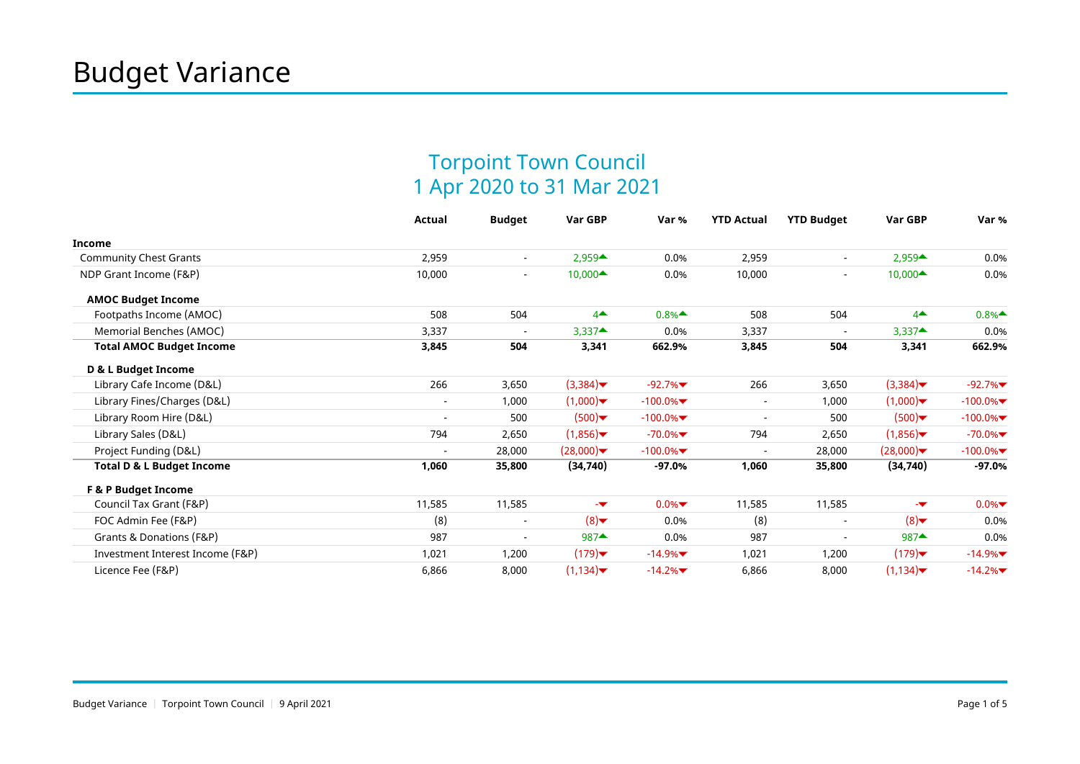## Torpoint Town Council 1 Apr 2020 to 31 Mar 2021

|                                      | Actual                   | <b>Budget</b>            | Var GBP                                   | Var %                                    | <b>YTD Actual</b>        | <b>YTD Budget</b>        | Var GBP                                   | Var %      |
|--------------------------------------|--------------------------|--------------------------|-------------------------------------------|------------------------------------------|--------------------------|--------------------------|-------------------------------------------|------------|
| <b>Income</b>                        |                          |                          |                                           |                                          |                          |                          |                                           |            |
| <b>Community Chest Grants</b>        | 2,959                    | $\blacksquare$           | $2,959 \triangle $                        | 0.0%                                     | 2,959                    | $\overline{\phantom{a}}$ | $2,959 \triangle$                         | 0.0%       |
| NDP Grant Income (F&P)               | 10,000                   | $\overline{\phantom{a}}$ | 10,000▲                                   | 0.0%                                     | 10,000                   | $\blacksquare$           | $10,000 \triangleq$                       | 0.0%       |
| <b>AMOC Budget Income</b>            |                          |                          |                                           |                                          |                          |                          |                                           |            |
| Footpaths Income (AMOC)              | 508                      | 504                      | $4^{\triangle}$                           | $0.8%$ <sup><math>\triangle</math></sup> | 508                      | 504                      | $4^{\triangle}$                           | 0.8%       |
| Memorial Benches (AMOC)              | 3,337                    | $\overline{\phantom{a}}$ | $3,337$ <sup><math>\triangle</math></sup> | 0.0%                                     | 3,337                    | $\overline{a}$           | $3,337$ <sup><math>\triangle</math></sup> | 0.0%       |
| <b>Total AMOC Budget Income</b>      | 3,845                    | 504                      | 3,341                                     | 662.9%                                   | 3,845                    | 504                      | 3,341                                     | 662.9%     |
| D & L Budget Income                  |                          |                          |                                           |                                          |                          |                          |                                           |            |
| Library Cafe Income (D&L)            | 266                      | 3,650                    | (3,384)                                   | $-92.7%$                                 | 266                      | 3,650                    | (3,384)                                   | $-92.7%$   |
| Library Fines/Charges (D&L)          |                          | 1,000                    | (1,000)                                   | $-100.0\%$                               | $\overline{\phantom{a}}$ | 1,000                    | (1,000)                                   | $-100.0\%$ |
| Library Room Hire (D&L)              | $\overline{\phantom{a}}$ | 500                      | (500)                                     | $-100.0\%$                               | $\overline{\phantom{a}}$ | 500                      | (500)                                     | $-100.0\%$ |
| Library Sales (D&L)                  | 794                      | 2,650                    | (1,856)                                   | $-70.0\%$                                | 794                      | 2,650                    | (1,856)                                   | $-70.0\%$  |
| Project Funding (D&L)                |                          | 28,000                   | (28,000)                                  | $-100.0\%$                               |                          | 28,000                   | (28,000)                                  | $-100.0\%$ |
| <b>Total D &amp; L Budget Income</b> | 1,060                    | 35,800                   | (34, 740)                                 | $-97.0%$                                 | 1,060                    | 35,800                   | (34,740)                                  | $-97.0%$   |
| F & P Budget Income                  |                          |                          |                                           |                                          |                          |                          |                                           |            |
| Council Tax Grant (F&P)              | 11,585                   | 11,585                   | -w                                        | $0.0\%$                                  | 11,585                   | 11,585                   | -w                                        | $0.0\%$    |
| FOC Admin Fee (F&P)                  | (8)                      | $\overline{\phantom{a}}$ | (8)                                       | 0.0%                                     | (8)                      |                          | (8)                                       | 0.0%       |
| Grants & Donations (F&P)             | 987                      | $\overline{\phantom{a}}$ | $987 \triangleq$                          | 0.0%                                     | 987                      | $\overline{\phantom{a}}$ | $987$ <sup><math>\triangle</math></sup>   | 0.0%       |
| Investment Interest Income (F&P)     | 1,021                    | 1,200                    | (179)                                     | $-14.9\%$                                | 1,021                    | 1,200                    | $(179)$ $\blacktriangleright$             | $-14.9\%$  |
| Licence Fee (F&P)                    | 6,866                    | 8,000                    | (1, 134)                                  | $-14.2%$                                 | 6,866                    | 8,000                    | (1, 134)                                  | $-14.2%$   |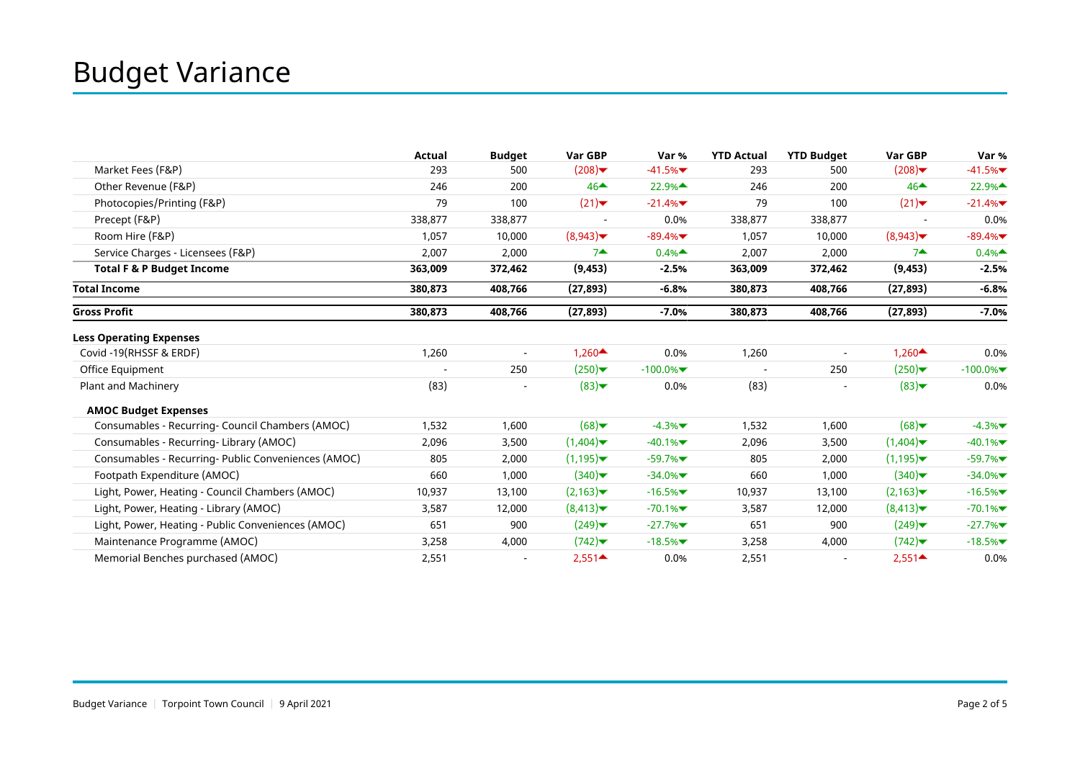|                                                     | Actual  | <b>Budget</b>            | Var GBP           | Var %      | <b>YTD Actual</b> | <b>YTD Budget</b>        | Var GBP                                   | Var %      |
|-----------------------------------------------------|---------|--------------------------|-------------------|------------|-------------------|--------------------------|-------------------------------------------|------------|
| Market Fees (F&P)                                   | 293     | 500                      | (208)             | $-41.5%$   | 293               | 500                      | (208)                                     | $-41.5%$   |
| Other Revenue (F&P)                                 | 246     | 200                      | $46 \triangle$    | 22.9%▲     | 246               | 200                      | $46 \triangle$                            | 22.9%▲     |
| Photocopies/Printing (F&P)                          | 79      | 100                      | (21)              | $-21.4%$   | 79                | 100                      | (21)                                      | $-21.4%$   |
| Precept (F&P)                                       | 338,877 | 338,877                  |                   | 0.0%       | 338,877           | 338,877                  |                                           | 0.0%       |
| Room Hire (F&P)                                     | 1,057   | 10,000                   | (8,943)           | $-89.4%$   | 1,057             | 10,000                   | (8,943)                                   | $-89.4%$   |
| Service Charges - Licensees (F&P)                   | 2,007   | 2,000                    | $7 -$             | 0.4%       | 2,007             | 2,000                    | $7 -$                                     | 0.4%       |
| <b>Total F &amp; P Budget Income</b>                | 363,009 | 372,462                  | (9, 453)          | $-2.5%$    | 363,009           | 372,462                  | (9, 453)                                  | $-2.5%$    |
| <b>Total Income</b>                                 | 380,873 | 408,766                  | (27, 893)         | $-6.8%$    | 380,873           | 408,766                  | (27, 893)                                 | $-6.8%$    |
| <b>Gross Profit</b>                                 | 380.873 | 408,766                  | (27, 893)         | $-7.0%$    | 380,873           | 408,766                  | (27, 893)                                 | $-7.0%$    |
| <b>Less Operating Expenses</b>                      |         |                          |                   |            |                   |                          |                                           |            |
| Covid -19(RHSSF & ERDF)                             | 1,260   | $\overline{\phantom{a}}$ | 1,260 $\triangle$ | 0.0%       | 1,260             | $\overline{\phantom{a}}$ | 1,260 $\triangle$                         | 0.0%       |
| Office Equipment                                    |         | 250                      | (250)             | $-100.0\%$ |                   | 250                      | (250)                                     | $-100.0\%$ |
| Plant and Machinery                                 | (83)    |                          | (83)              | 0.0%       | (83)              | $\overline{\phantom{a}}$ | (83)                                      | 0.0%       |
| <b>AMOC Budget Expenses</b>                         |         |                          |                   |            |                   |                          |                                           |            |
| Consumables - Recurring- Council Chambers (AMOC)    | 1,532   | 1,600                    | (68)              | $-4.3%$    | 1,532             | 1,600                    | (68)                                      | $-4.3%$    |
| Consumables - Recurring- Library (AMOC)             | 2,096   | 3,500                    | (1,404)           | $-40.1%$   | 2,096             | 3,500                    | (1,404)                                   | $-40.1%$   |
| Consumables - Recurring- Public Conveniences (AMOC) | 805     | 2,000                    | (1, 195)          | $-59.7%$   | 805               | 2,000                    | (1,195)                                   | $-59.7%$   |
| Footpath Expenditure (AMOC)                         | 660     | 1,000                    | (340)             | $-34.0\%$  | 660               | 1,000                    | (340)                                     | $-34.0\%$  |
| Light, Power, Heating - Council Chambers (AMOC)     | 10,937  | 13,100                   | (2,163)           | $-16.5%$   | 10,937            | 13,100                   | (2,163)                                   | $-16.5%$   |
| Light, Power, Heating - Library (AMOC)              | 3,587   | 12,000                   | (8,413)           | $-70.1%$   | 3,587             | 12,000                   | (8,413)                                   | $-70.1%$   |
| Light, Power, Heating - Public Conveniences (AMOC)  | 651     | 900                      | (249)             | $-27.7%$   | 651               | 900                      | (249)                                     | $-27.7%$   |
| Maintenance Programme (AMOC)                        | 3,258   | 4,000                    | (742)             | $-18.5%$   | 3,258             | 4,000                    | (742)                                     | $-18.5%$   |
| Memorial Benches purchased (AMOC)                   | 2,551   | $\overline{\phantom{a}}$ | $2,551 -$         | 0.0%       | 2,551             | $\overline{\phantom{a}}$ | $2,551$ <sup><math>\triangle</math></sup> | 0.0%       |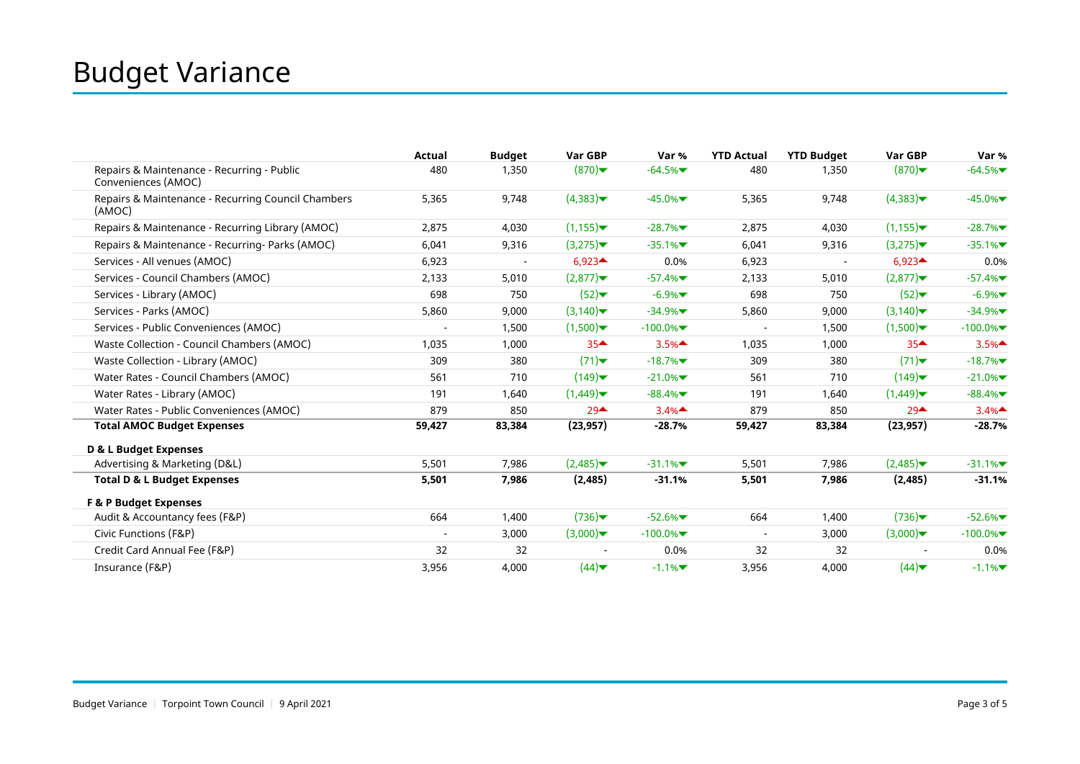|                                                                   | Actual                   | <b>Budget</b> | Var GBP                         | Var %      | <b>YTD Actual</b>        | <b>YTD Budget</b> | Var GBP                         | Var %      |
|-------------------------------------------------------------------|--------------------------|---------------|---------------------------------|------------|--------------------------|-------------------|---------------------------------|------------|
| Repairs & Maintenance - Recurring - Public<br>Conveniences (AMOC) | 480                      | 1,350         | (870)                           | $-64.5%$   | 480                      | 1,350             | (870)                           | $-64.5%$   |
| Repairs & Maintenance - Recurring Council Chambers<br>(AMOC)      | 5,365                    | 9,748         | (4,383)                         | $-45.0\%$  | 5,365                    | 9,748             | (4,383)                         | $-45.0\%$  |
| Repairs & Maintenance - Recurring Library (AMOC)                  | 2,875                    | 4,030         | (1, 155)                        | $-28.7%$   | 2,875                    | 4,030             | (1, 155)                        | $-28.7%$   |
| Repairs & Maintenance - Recurring- Parks (AMOC)                   | 6,041                    | 9,316         | (3,275)                         | $-35.1%$   | 6,041                    | 9,316             | (3,275)                         | $-35.1%$   |
| Services - All venues (AMOC)                                      | 6,923                    |               | $6,923 \triangle$               | 0.0%       | 6,923                    |                   | $6,923 \triangle $              | 0.0%       |
| Services - Council Chambers (AMOC)                                | 2,133                    | 5,010         | (2,877)                         | $-57.4%$   | 2,133                    | 5,010             | (2,877)                         | $-57.4%$   |
| Services - Library (AMOC)                                         | 698                      | 750           | (52)                            | $-6.9%$    | 698                      | 750               | (52)                            | $-6.9%$    |
| Services - Parks (AMOC)                                           | 5,860                    | 9,000         | (3,140)                         | $-34.9%$   | 5,860                    | 9,000             | (3,140)                         | $-34.9%$   |
| Services - Public Conveniences (AMOC)                             | $\overline{\phantom{a}}$ | 1,500         | (1,500)                         | $-100.0\%$ | $\overline{\phantom{a}}$ | 1,500             | $(1,500)$ $\blacktriangleright$ | $-100.0\%$ |
| Waste Collection - Council Chambers (AMOC)                        | 1,035                    | 1,000         | $35 -$                          | 3.5%       | 1,035                    | 1,000             | 35 <sup>4</sup>                 | 3.5%       |
| Waste Collection - Library (AMOC)                                 | 309                      | 380           | (71)                            | $-18.7%$   | 309                      | 380               | (71)                            | $-18.7%$   |
| Water Rates - Council Chambers (AMOC)                             | 561                      | 710           | (149)                           | $-21.0\%$  | 561                      | 710               | (149)                           | $-21.0%$   |
| Water Rates - Library (AMOC)                                      | 191                      | 1,640         | (1,449)                         | $-88.4%$   | 191                      | 1,640             | (1,449)                         | $-88.4%$   |
| Water Rates - Public Conveniences (AMOC)                          | 879                      | 850           | $29^{\triangle}$                | 3.4%       | 879                      | 850               | $29^{\triangle}$                | 3.4%       |
| <b>Total AMOC Budget Expenses</b>                                 | 59,427                   | 83,384        | (23, 957)                       | $-28.7%$   | 59,427                   | 83,384            | (23, 957)                       | $-28.7%$   |
| D & L Budget Expenses                                             |                          |               |                                 |            |                          |                   |                                 |            |
| Advertising & Marketing (D&L)                                     | 5,501                    | 7,986         | (2,485)                         | $-31.1%$   | 5,501                    | 7,986             | (2,485)                         | $-31.1%$   |
| <b>Total D &amp; L Budget Expenses</b>                            | 5,501                    | 7,986         | (2, 485)                        | $-31.1%$   | 5,501                    | 7,986             | (2, 485)                        | $-31.1%$   |
| <b>F &amp; P Budget Expenses</b>                                  |                          |               |                                 |            |                          |                   |                                 |            |
| Audit & Accountancy fees (F&P)                                    | 664                      | 1,400         | $(736)$ $\blacktriangledown$    | $-52.6%$   | 664                      | 1,400             | (736)                           | $-52.6%$   |
| Civic Functions (F&P)                                             | $\overline{\phantom{a}}$ | 3,000         | $(3,000)$ $\blacktriangleright$ | $-100.0\%$ | $\overline{\phantom{a}}$ | 3,000             | $(3,000)$ $\blacktriangleright$ | $-100.0\%$ |
| Credit Card Annual Fee (F&P)                                      | 32                       | 32            |                                 | 0.0%       | 32                       | 32                |                                 | 0.0%       |
| Insurance (F&P)                                                   | 3,956                    | 4,000         | (44)                            | $-1.1%$    | 3,956                    | 4,000             | (44)                            | $-1.1%$    |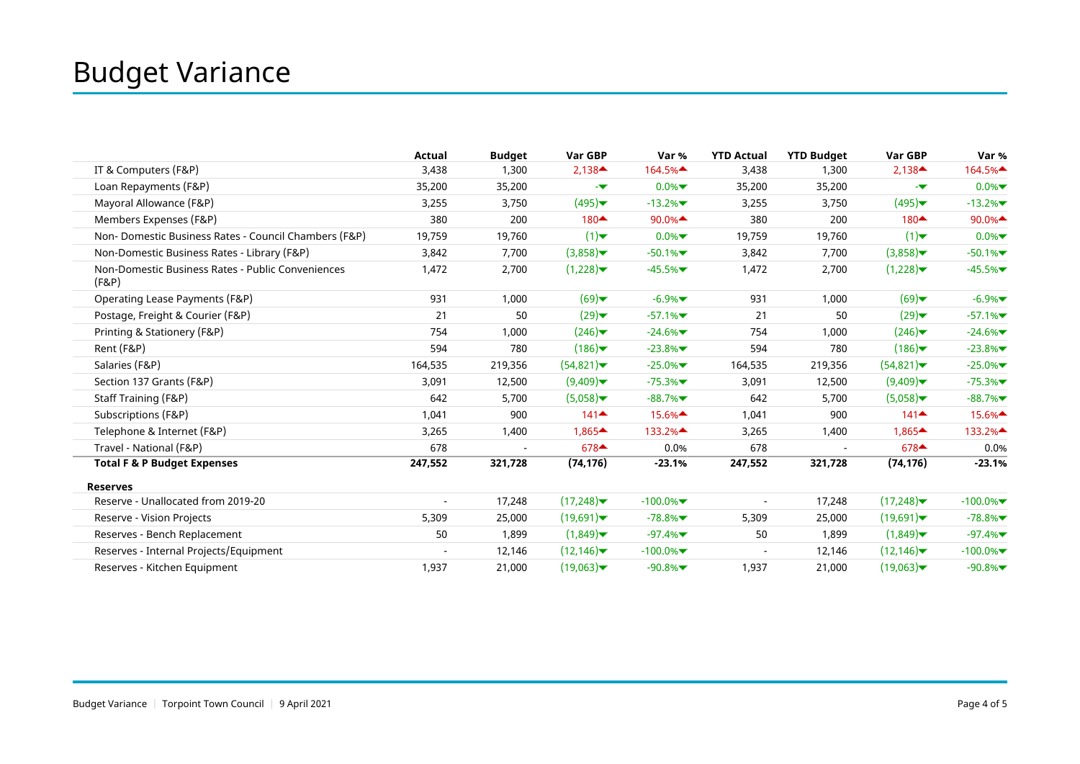|                                                            | Actual  | <b>Budget</b> | Var GBP                                   | Var %                                      | <b>YTD Actual</b>        | <b>YTD Budget</b> | Var GBP                                   | Var %                                   |
|------------------------------------------------------------|---------|---------------|-------------------------------------------|--------------------------------------------|--------------------------|-------------------|-------------------------------------------|-----------------------------------------|
| IT & Computers (F&P)                                       | 3,438   | 1,300         | $2,138$ <sup><math>\triangle</math></sup> | 164.5%▲                                    | 3,438                    | 1,300             | $2,138$ <sup><math>\triangle</math></sup> | 164.5%                                  |
| Loan Repayments (F&P)                                      | 35,200  | 35,200        | -w                                        | $0.0\%$                                    | 35,200                   | 35,200            | -v                                        | $0.0\%$                                 |
| Mayoral Allowance (F&P)                                    | 3,255   | 3,750         | (495)                                     | $-13.2%$                                   | 3,255                    | 3,750             | (495)                                     | $-13.2%$                                |
| Members Expenses (F&P)                                     | 380     | 200           | 180▲                                      | 90.0%                                      | 380                      | 200               | 180▲                                      | 90.0%                                   |
| Non-Domestic Business Rates - Council Chambers (F&P)       | 19,759  | 19,760        | (1)                                       | $0.0\%$                                    | 19,759                   | 19,760            | (1)                                       | $0.0\%$                                 |
| Non-Domestic Business Rates - Library (F&P)                | 3,842   | 7,700         | (3,858)                                   | $-50.1%$                                   | 3,842                    | 7,700             | (3,858)                                   | $-50.1%$                                |
| Non-Domestic Business Rates - Public Conveniences<br>(F&P) | 1,472   | 2,700         | (1,228)                                   | $-45.5%$                                   | 1,472                    | 2,700             | (1,228)                                   | $-45.5%$                                |
| Operating Lease Payments (F&P)                             | 931     | 1,000         | (69)                                      | $-6.9%$                                    | 931                      | 1,000             | (69)                                      | $-6.9%$                                 |
| Postage, Freight & Courier (F&P)                           | 21      | 50            | (29)                                      | $-57.1%$                                   | 21                       | 50                | (29)                                      | $-57.1%$                                |
| Printing & Stationery (F&P)                                | 754     | 1,000         | (246)                                     | $-24.6%$                                   | 754                      | 1,000             | (246)                                     | $-24.6%$                                |
| Rent (F&P)                                                 | 594     | 780           | (186)                                     | $-23.8%$                                   | 594                      | 780               | (186)                                     | $-23.8%$                                |
| Salaries (F&P)                                             | 164,535 | 219,356       | (54,821)                                  | $-25.0\%$                                  | 164,535                  | 219,356           | (54,821)                                  | $-25.0%$                                |
| Section 137 Grants (F&P)                                   | 3,091   | 12,500        | (9,409)                                   | $-75.3%$                                   | 3,091                    | 12,500            | (9,409)                                   | $-75.3%$                                |
| Staff Training (F&P)                                       | 642     | 5,700         | (5,058)                                   | $-88.7%$                                   | 642                      | 5,700             | (5,058)                                   | $-88.7%$                                |
| Subscriptions (F&P)                                        | 1,041   | 900           | $141 \triangleq$                          | $15.6\%$ <sup><math>\triangle</math></sup> | 1,041                    | 900               | $141$ <sup><math>\triangle</math></sup>   | 15.6% <sup><math>\triangle</math></sup> |
| Telephone & Internet (F&P)                                 | 3,265   | 1,400         | $1,865 \triangleq$                        | 133.2%                                     | 3,265                    | 1,400             | $1,865 \triangleq$                        | 133.2%                                  |
| Travel - National (F&P)                                    | 678     |               | $678 \triangleq$                          | 0.0%                                       | 678                      |                   | $678$ <sup><math>\triangle</math></sup>   | 0.0%                                    |
| <b>Total F &amp; P Budget Expenses</b>                     | 247,552 | 321,728       | (74, 176)                                 | $-23.1%$                                   | 247,552                  | 321,728           | (74, 176)                                 | $-23.1%$                                |
| <b>Reserves</b>                                            |         |               |                                           |                                            |                          |                   |                                           |                                         |
| Reserve - Unallocated from 2019-20                         |         | 17,248        | (17,248)                                  | $-100.0\%$                                 | $\overline{\phantom{a}}$ | 17,248            | (17,248)                                  | $-100.0\%$                              |
| Reserve - Vision Projects                                  | 5,309   | 25,000        | (19,691)                                  | $-78.8%$                                   | 5,309                    | 25,000            | (19,691)                                  | $-78.8%$                                |
| Reserves - Bench Replacement                               | 50      | 1,899         | (1,849)                                   | $-97.4%$                                   | 50                       | 1,899             | (1,849)                                   | $-97.4%$                                |
| Reserves - Internal Projects/Equipment                     |         | 12,146        | (12, 146)                                 | $-100.0\%$                                 | $\overline{\phantom{a}}$ | 12,146            | (12, 146)                                 | $-100.0\%$                              |
| Reserves - Kitchen Equipment                               | 1,937   | 21,000        | (19,063)                                  | $-90.8%$                                   | 1,937                    | 21,000            | (19,063)                                  | $-90.8%$                                |